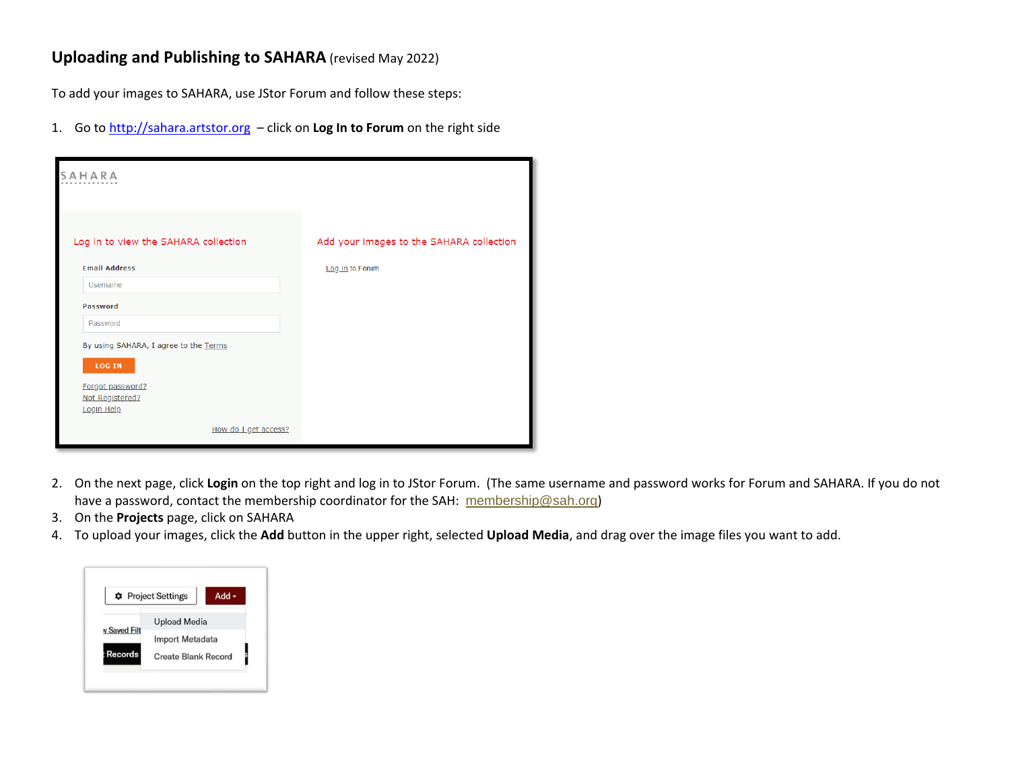## **Uploading and Publishing to SAHARA** (revised May 2022)

To add your images to SAHARA, use JStor Forum and follow these steps:

1. Go t[o http://sahara.artstor.org](http://sahara.artstor.org/) – click on **Log In to Forum** on the right side

| SAHARA                                                                                                      |                                          |
|-------------------------------------------------------------------------------------------------------------|------------------------------------------|
| Log in to view the SAHARA collection                                                                        | Add your images to the SAHARA collection |
| <b>Email Address</b>                                                                                        | Log in to Forum                          |
| Username                                                                                                    |                                          |
| <b>Password</b>                                                                                             |                                          |
| Password                                                                                                    |                                          |
| By using SAHARA, I agree to the Terms<br><b>LOG IN</b><br>Forgot password?<br>Not Registered?<br>Login Help |                                          |
| How do I get access?                                                                                        |                                          |

- 2. On the next page, click **Login** on the top right and log in to JStor Forum. (The same username and password works for Forum and SAHARA. If you do not have a password, contact the membership coordinator for the SAH: [membership@sah.org](mailto:membership@sah.org))
- 3. On the **Projects** page, click on SAHARA
- 4. To upload your images, click the **Add** button in the upper right, selected **Upload Media**, and drag over the image files you want to add.

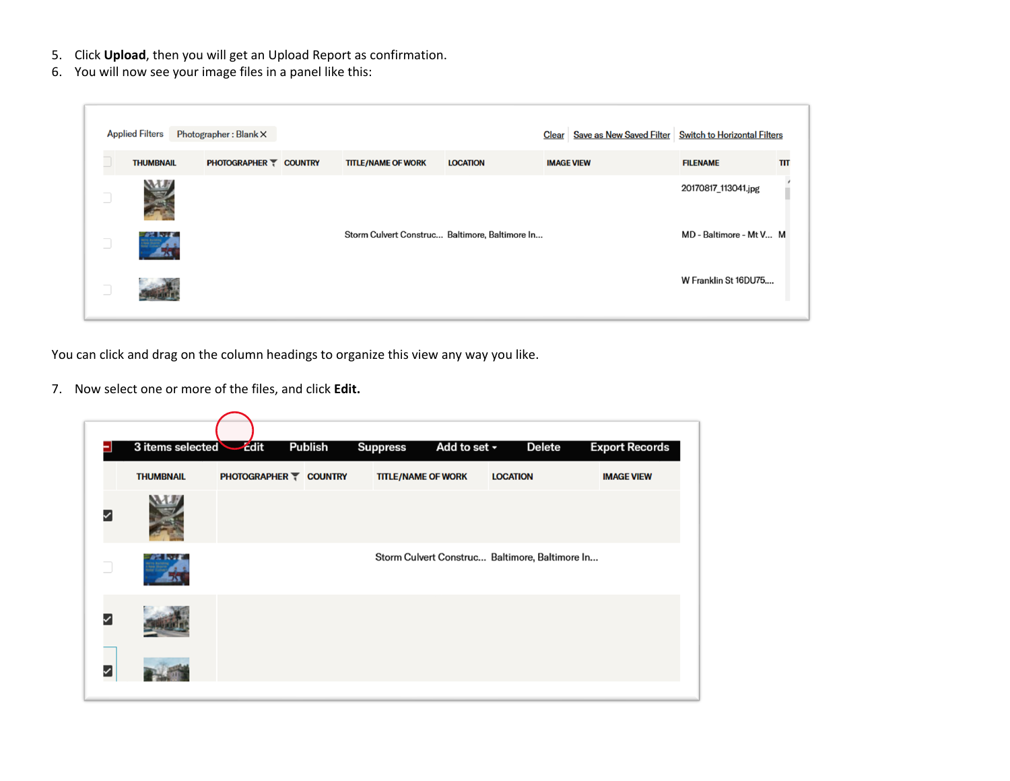- 5. Click **Upload**, then you will get an Upload Report as confirmation.
- 6. You will now see your image files in a panel like this:

|        | <b>Applied Filters</b> | Photographer: Blank X |                               |                                                |                 |                   | Clear   Save as New Saved Filter   Switch to Horizontal Filters |                         |     |
|--------|------------------------|-----------------------|-------------------------------|------------------------------------------------|-----------------|-------------------|-----------------------------------------------------------------|-------------------------|-----|
|        | <b>THUMBNAIL</b>       |                       | <b>PHOTOGRAPHER T COUNTRY</b> | <b>TITLE/NAME OF WORK</b>                      | <b>LOCATION</b> | <b>IMAGE VIEW</b> |                                                                 | <b>FILENAME</b>         | TIT |
| $\Box$ |                        |                       |                               |                                                |                 |                   |                                                                 | 20170817_113041.jpg     |     |
| $\Box$ |                        |                       |                               | Storm Culvert Construc Baltimore, Baltimore In |                 |                   |                                                                 | MD - Baltimore - Mt V M |     |
| $\Box$ |                        |                       |                               |                                                |                 |                   |                                                                 | W Franklin St 16DU75    |     |

You can click and drag on the column headings to organize this view any way you like.

7. Now select one or more of the files, and click **Edit.**